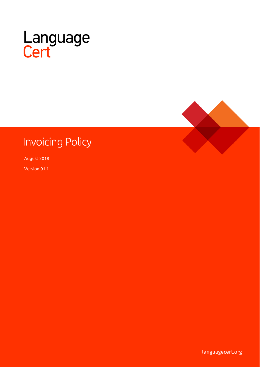

# **Invoicing Policy**

August 2018

Version 01.1

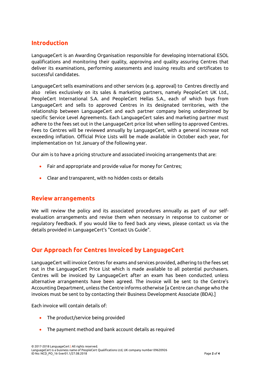### **Introduction**

LanguageCert is an Awarding Organisation responsible for developing International ESOL qualifications and monitoring their quality, approving and quality assuring Centres that deliver its examinations, performing assessments and issuing results and certificates to successful candidates.

LanguageCert sells examinations and other services (e.g. approval) to Centres directly and also relies exclusively on its sales & marketing partners, namely PeopleCert UK Ltd., PeopleCert International S.A. and PeopleCert Hellas S.A., each of which buys from LanguageCert and sells to approved Centres in its designated territories, with the relationship between LanguageCert and each partner company being underpinned by specific Service Level Agreements. Each LanguageCert sales and marketing partner must adhere to the fees set out in the LanguageCert price list when selling to approved Centres. Fees to Centres will be reviewed annually by LanguageCert, with a general increase not exceeding inflation. Official Price Lists will be made available in October each year, for implementation on 1st January of the following year.

Our aim is to have a pricing structure and associated invoicing arrangements that are:

- Fair and appropriate and provide value for money for Centres;
- Clear and transparent, with no hidden costs or details

#### **Review arrangements**

We will review the policy and its associated procedures annually as part of our selfevaluation arrangements and revise them when necessary in response to customer or regulatory feedback. If you would like to feed back any views, please contact us via the details provided in LanguageCert's "Contact Us Guide".

# **Our Approach for Centres Invoiced by LanguageCert**

LanguageCert will invoice Centres for exams and services provided, adhering to the fees set out in the LanguageCert Price List which is made available to all potential purchasers. Centres will be invoiced by LanguageCert after an exam has been conducted, unless alternative arrangements have been agreed. The invoice will be sent to the Centre's Accounting Department, unless the Centre informs otherwise [a Centre can change who the invoices must be sent to by contacting their Business Development Associate (BDA).]

Each invoice will contain details of:

- The product/service being provided
- The payment method and bank account details as required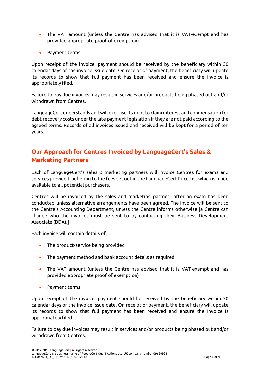- The VAT amount (unless the Centre has advised that it is VAT-exempt and has provided appropriate proof of exemption)
- Payment terms

Upon receipt of the invoice, payment should be received by the beneficiary within 30 calendar days of the invoice issue date. On receipt of payment, the beneficiary will update its records to show that full payment has been received and ensure the invoice is appropriately filed.

Failure to pay due invoices may result in services and/or products being phased out and/or withdrawn from Centres.

LanguageCert understands and will exercise its right to claim interest and compensation for debt recovery costs under the late payment legislation if they are not paid according to the agreed terms. Records of all invoices issued and received will be kept for a period of ten years.

# **Our Approach for Centres Invoiced by LanguageCert's Sales & Marketing Partners**

Each of LanguageCert's sales & marketing partners will invoice Centres for exams and services provided, adhering to the fees set out in the LanguageCert Price List which is made available to all potential purchasers.

Centres will be invoiced by the sales and marketing partner after an exam has been conducted, unless alternative arrangements have been agreed. The invoice will be sent to the Centre's Accounting Department, unless the Centre informs otherwise [a Centre can change who the invoices must be sent to by contacting their Business Development Associate (BDA).]

Each invoice will contain details of:

- The product/service being provided
- The payment method and bank account details as required
- The VAT amount (unless the Centre has advised that it is VAT-exempt and has provided appropriate proof of exemption)
- Payment terms

Upon receipt of the invoice, payment should be received by the beneficiary within 30 calendar days of the invoice issue date. On receipt of payment, the beneficiary will update its records to show that full payment has been received and ensure the invoice is appropriately filed.

Failure to pay due invoices may result in services and/or products being phased out and/or withdrawn from Centres.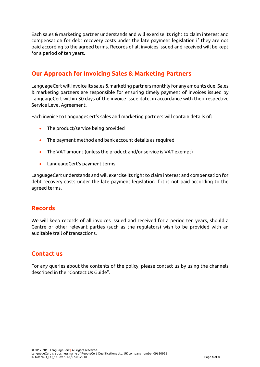Each sales & marketing partner understands and will exercise its right to claim interest and compensation for debt recovery costs under the late payment legislation if they are not paid according to the agreed terms. Records of all invoices issued and received will be kept for a period of ten years.

# **Our Approach for Invoicing Sales & Marketing Partners**

LanguageCert will invoice its sales & marketing partners monthly for any amounts due. Sales & marketing partners are responsible for ensuring timely payment of invoices issued by LanguageCert within 30 days of the invoice issue date, in accordance with their respective Service Level Agreement.

Each invoice to LanguageCert's sales and marketing partners will contain details of:

- The product/service being provided
- The payment method and bank account details as required
- The VAT amount (unless the product and/or service is VAT exempt)
- LanguageCert's payment terms

LanguageCert understands and will exercise its right to claim interest and compensation for debt recovery costs under the late payment legislation if it is not paid according to the agreed terms.

#### **Records**

We will keep records of all invoices issued and received for a period ten years, should a Centre or other relevant parties (such as the regulators) wish to be provided with an auditable trail of transactions.

#### **Contact us**

For any queries about the contents of the policy, please contact us by using the channels described in the "Contact Us Guide".